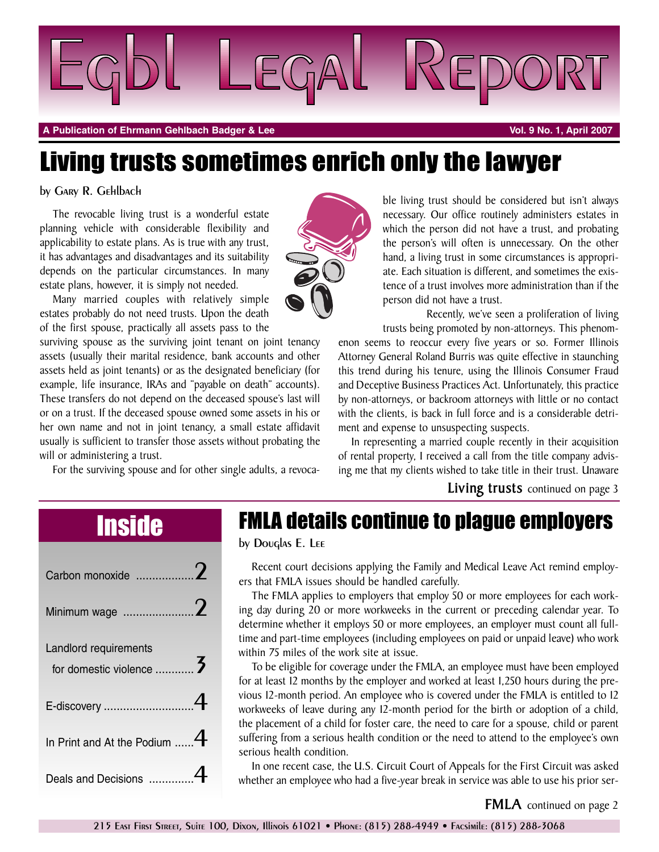

**A Publication of Ehrmann Gehlbach Badger & Lee Vol. 9 No. 1, April 2007**

# Living trusts sometimes enrich only the lawyer

## by Gary R. Gehlbach

The revocable living trust is a wonderful estate planning vehicle with considerable flexibility and applicability to estate plans. As is true with any trust, it has advantages and disadvantages and its suitability depends on the particular circumstances. In many estate plans, however, it is simply not needed.

Many married couples with relatively simple estates probably do not need trusts. Upon the death of the first spouse, practically all assets pass to the

surviving spouse as the surviving joint tenant on joint tenancy assets (usually their marital residence, bank accounts and other assets held as joint tenants) or as the designated beneficiary (for example, life insurance, IRAs and "payable on death" accounts). These transfers do not depend on the deceased spouse's last will or on a trust. If the deceased spouse owned some assets in his or her own name and not in joint tenancy, a small estate affidavit usually is sufficient to transfer those assets without probating the will or administering a trust.

For the surviving spouse and for other single adults, a revoca-



ble living trust should be considered but isn't always necessary. Our office routinely administers estates in which the person did not have a trust, and probating the person's will often is unnecessary. On the other hand, a living trust in some circumstances is appropriate. Each situation is different, and sometimes the existence of a trust involves more administration than if the person did not have a trust.

Recently, we've seen a proliferation of living trusts being promoted by non-attorneys. This phenom-

enon seems to reoccur every five years or so. Former Illinois Attorney General Roland Burris was quite effective in staunching this trend during his tenure, using the Illinois Consumer Fraud and Deceptive Business Practices Act. Unfortunately, this practice by non-attorneys, or backroom attorneys with little or no contact with the clients, is back in full force and is a considerable detriment and expense to unsuspecting suspects.

In representing a married couple recently in their acquisition of rental property, I received a call from the title company advising me that my clients wished to take title in their trust. Unaware

**Living trusts** continued on page 3

| Landlord requirements<br>for domestic violence  3 |
|---------------------------------------------------|
|                                                   |
| In Print and At the Podium $4$                    |
| Deals and Decisions                               |

# Inside FMLA details continue to plague employers

by Douglas E. Lee

Recent court decisions applying the Family and Medical Leave Act remind employers that FMLA issues should be handled carefully.

The FMLA applies to employers that employ 50 or more employees for each working day during 20 or more workweeks in the current or preceding calendar year. To determine whether it employs 50 or more employees, an employer must count all fulltime and part-time employees (including employees on paid or unpaid leave) who work within 75 miles of the work site at issue.

To be eligible for coverage under the FMLA, an employee must have been employed for at least 12 months by the employer and worked at least 1,250 hours during the previous 12-month period. An employee who is covered under the FMLA is entitled to 12 workweeks of leave during any 12-month period for the birth or adoption of a child, the placement of a child for foster care, the need to care for a spouse, child or parent suffering from a serious health condition or the need to attend to the employee's own serious health condition.

In one recent case, the U.S. Circuit Court of Appeals for the First Circuit was asked whether an employee who had a five-year break in service was able to use his prior ser-

**FMLA** continued on page 2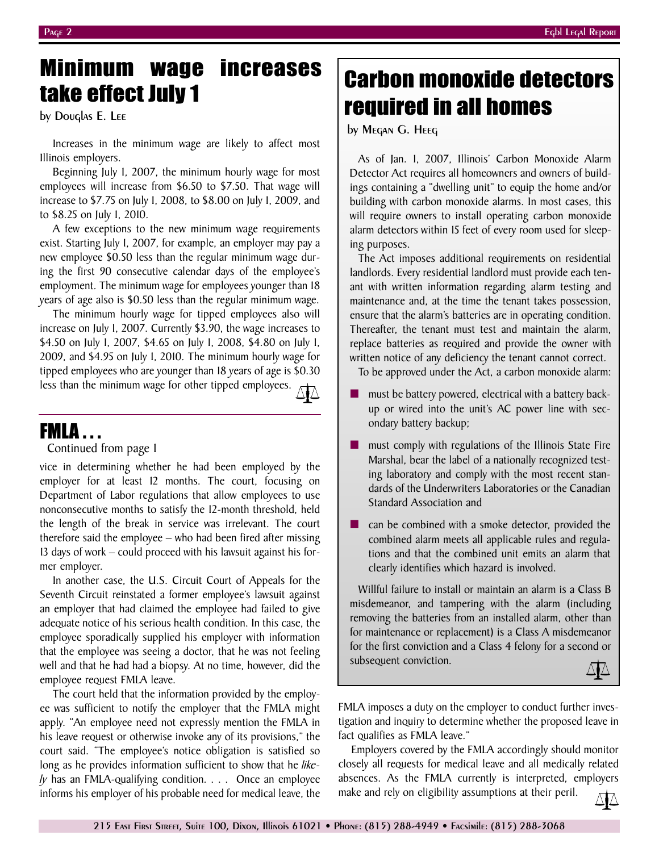## employee request FMLA leave.

The court held that the information provided by the employee was sufficient to notify the employer that the FMLA might apply. "An employee need not expressly mention the FMLA in his leave request or otherwise invoke any of its provisions," the court said. "The employee's notice obligation is satisfied so long as he provides information sufficient to show that he *likely* has an FMLA-qualifying condition. . . . Once an employee informs his employer of his probable need for medical leave, the

# minimum wago morodoos carbon monoxide detectors required in all homes

by Megan G. Heeg

As of Jan. 1, 2007, Illinois' Carbon Monoxide Alarm Detector Act requires all homeowners and owners of buildings containing a "dwelling unit" to equip the home and/or building with carbon monoxide alarms. In most cases, this will require owners to install operating carbon monoxide alarm detectors within 15 feet of every room used for sleeping purposes.

The Act imposes additional requirements on residential landlords. Every residential landlord must provide each tenant with written information regarding alarm testing and maintenance and, at the time the tenant takes possession, ensure that the alarm's batteries are in operating condition. Thereafter, the tenant must test and maintain the alarm, replace batteries as required and provide the owner with written notice of any deficiency the tenant cannot correct.

To be approved under the Act, a carbon monoxide alarm:

- must be battery powered, electrical with a battery backup or wired into the unit's AC power line with secondary battery backup;
- must comply with regulations of the Illinois State Fire Marshal, bear the label of a nationally recognized testing laboratory and comply with the most recent standards of the Underwriters Laboratories or the Canadian Standard Association and
- can be combined with a smoke detector, provided the combined alarm meets all applicable rules and regulations and that the combined unit emits an alarm that clearly identifies which hazard is involved.

Willful failure to install or maintain an alarm is a Class B misdemeanor, and tampering with the alarm (including removing the batteries from an installed alarm, other than for maintenance or replacement) is a Class A misdemeanor for the first conviction and a Class 4 felony for a second or subsequent conviction.

FMLA imposes a duty on the employer to conduct further investigation and inquiry to determine whether the proposed leave in fact qualifies as FMLA leave."

Employers covered by the FMLA accordingly should monitor closely all requests for medical leave and all medically related absences. As the FMLA currently is interpreted, employers make and rely on eligibility assumptions at their peril.

vice in determining whether he had been employed by the employer for at least 12 months. The court, focusing on Department of Labor regulations that allow employees to use nonconsecutive months to satisfy the 12-month threshold, held the length of the break in service was irrelevant. The court therefore said the employee – who had been fired after missing 13 days of work – could proceed with his lawsuit against his for-

Minimum wage increases

Increases in the minimum wage are likely to affect most

Beginning July 1, 2007, the minimum hourly wage for most employees will increase from \$6.50 to \$7.50. That wage will increase to \$7.75 on July 1, 2008, to \$8.00 on July 1, 2009, and

A few exceptions to the new minimum wage requirements exist. Starting July 1, 2007, for example, an employer may pay a new employee \$0.50 less than the regular minimum wage during the first 90 consecutive calendar days of the employee's employment. The minimum wage for employees younger than 18 years of age also is \$0.50 less than the regular minimum wage. The minimum hourly wage for tipped employees also will increase on July 1, 2007. Currently \$3.90, the wage increases to \$4.50 on July 1, 2007, \$4.65 on July 1, 2008, \$4.80 on July 1, 2009, and \$4.95 on July 1, 2010. The minimum hourly wage for tipped employees who are younger than 18 years of age is \$0.30 less than the minimum wage for other tipped employees.

In another case, the U.S. Circuit Court of Appeals for the Seventh Circuit reinstated a former employee's lawsuit against an employer that had claimed the employee had failed to give adequate notice of his serious health condition. In this case, the employee sporadically supplied his employer with information that the employee was seeing a doctor, that he was not feeling well and that he had had a biopsy. At no time, however, did the

by Douglas E. Lee

Illinois employers.

to \$8.25 on July 1, 2010.

FMLA . . .

mer employer.

Continued from page 1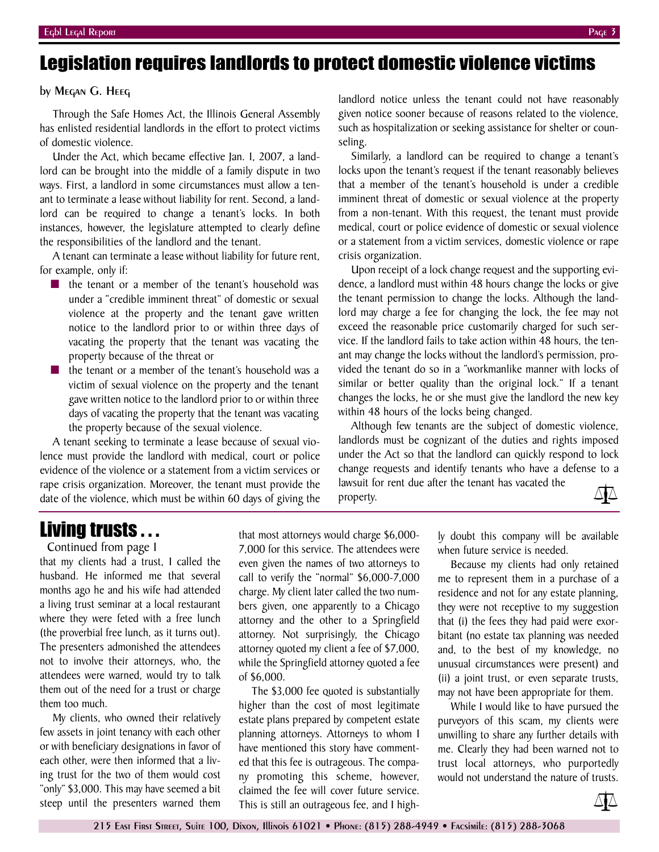## Legislation requires landlords to protect domestic violence victims

### by Megan G. Heeg

Through the Safe Homes Act, the Illinois General Assembly has enlisted residential landlords in the effort to protect victims of domestic violence.

Under the Act, which became effective Jan. 1, 2007, a landlord can be brought into the middle of a family dispute in two ways. First, a landlord in some circumstances must allow a tenant to terminate a lease without liability for rent. Second, a landlord can be required to change a tenant's locks. In both instances, however, the legislature attempted to clearly define the responsibilities of the landlord and the tenant.

A tenant can terminate a lease without liability for future rent, for example, only if:

- the tenant or a member of the tenant's household was under a "credible imminent threat" of domestic or sexual violence at the property and the tenant gave written notice to the landlord prior to or within three days of vacating the property that the tenant was vacating the property because of the threat or
- the tenant or a member of the tenant's household was a victim of sexual violence on the property and the tenant gave written notice to the landlord prior to or within three days of vacating the property that the tenant was vacating the property because of the sexual violence.

A tenant seeking to terminate a lease because of sexual violence must provide the landlord with medical, court or police evidence of the violence or a statement from a victim services or rape crisis organization. Moreover, the tenant must provide the date of the violence, which must be within 60 days of giving the

landlord notice unless the tenant could not have reasonably given notice sooner because of reasons related to the violence, such as hospitalization or seeking assistance for shelter or counseling.

Similarly, a landlord can be required to change a tenant's locks upon the tenant's request if the tenant reasonably believes that a member of the tenant's household is under a credible imminent threat of domestic or sexual violence at the property from a non-tenant. With this request, the tenant must provide medical, court or police evidence of domestic or sexual violence or a statement from a victim services, domestic violence or rape crisis organization.

Upon receipt of a lock change request and the supporting evidence, a landlord must within 48 hours change the locks or give the tenant permission to change the locks. Although the landlord may charge a fee for changing the lock, the fee may not exceed the reasonable price customarily charged for such service. If the landlord fails to take action within 48 hours, the tenant may change the locks without the landlord's permission, provided the tenant do so in a "workmanlike manner with locks of similar or better quality than the original lock." If a tenant changes the locks, he or she must give the landlord the new key within 48 hours of the locks being changed.

Although few tenants are the subject of domestic violence, landlords must be cognizant of the duties and rights imposed under the Act so that the landlord can quickly respond to lock change requests and identify tenants who have a defense to a lawsuit for rent due after the tenant has vacated the

property.



## Living trusts . . .

Continued from page 1

that my clients had a trust, I called the husband. He informed me that several months ago he and his wife had attended a living trust seminar at a local restaurant where they were feted with a free lunch (the proverbial free lunch, as it turns out). The presenters admonished the attendees not to involve their attorneys, who, the attendees were warned, would try to talk them out of the need for a trust or charge them too much.

My clients, who owned their relatively few assets in joint tenancy with each other or with beneficiary designations in favor of each other, were then informed that a living trust for the two of them would cost "only" \$3,000. This may have seemed a bit steep until the presenters warned them

that most attorneys would charge \$6,000- 7,000 for this service. The attendees were even given the names of two attorneys to call to verify the "normal" \$6,000-7,000 charge. My client later called the two numbers given, one apparently to a Chicago attorney and the other to a Springfield attorney. Not surprisingly, the Chicago attorney quoted my client a fee of \$7,000, while the Springfield attorney quoted a fee of \$6,000.

The \$3,000 fee quoted is substantially higher than the cost of most legitimate estate plans prepared by competent estate planning attorneys. Attorneys to whom I have mentioned this story have commented that this fee is outrageous. The company promoting this scheme, however, claimed the fee will cover future service. This is still an outrageous fee, and I highly doubt this company will be available when future service is needed.

Because my clients had only retained me to represent them in a purchase of a residence and not for any estate planning, they were not receptive to my suggestion that (i) the fees they had paid were exorbitant (no estate tax planning was needed and, to the best of my knowledge, no unusual circumstances were present) and (ii) a joint trust, or even separate trusts, may not have been appropriate for them.

While I would like to have pursued the purveyors of this scam, my clients were unwilling to share any further details with me. Clearly they had been warned not to trust local attorneys, who purportedly would not understand the nature of trusts.